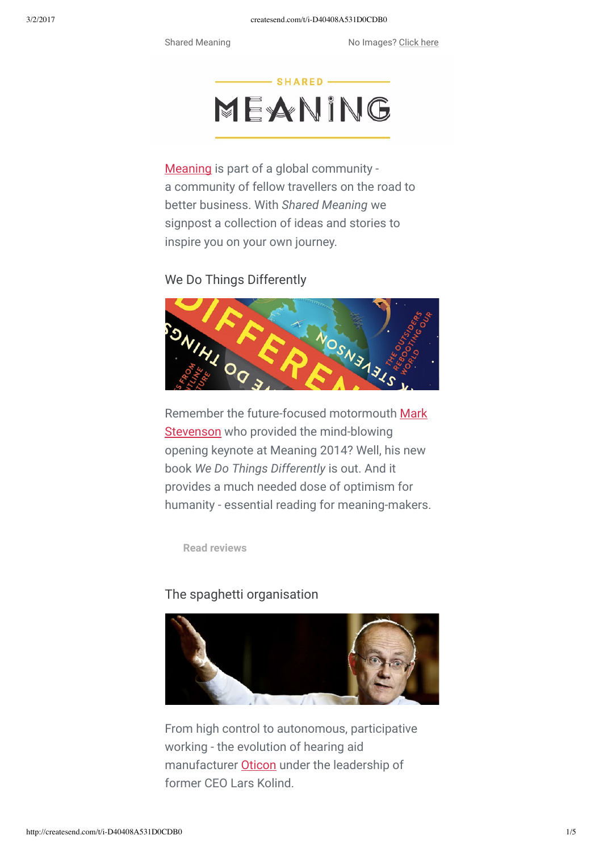

[Meaning](http://ash.createsend1.com/t/i-l-ujjiol-l-r/) is part of a global community a community of fellow travellers on the road to better business. With *Shared Meaning* we signpost a collection of ideas and stories to inspire you on your own journey.

## We Do Things Differently



[Remember the future-focused motormouth Mark](http://ash.createsend1.com/t/i-l-ujjiol-l-j/) Stevenson who provided the mind-blowing opening keynote at Meaning 2014? Well, his new book *We Do Things Differently* is out. And it provides a much needed dose of optimism for humanity - essential reading for meaning-makers.

**[Read reviews](http://ash.createsend1.com/t/i-l-ujjiol-l-t/)**

#### The spaghetti organisation



From high control to autonomous, participative working - the evolution of hearing aid manufacturer **Oticon** under the leadership of former CEO Lars Kolind.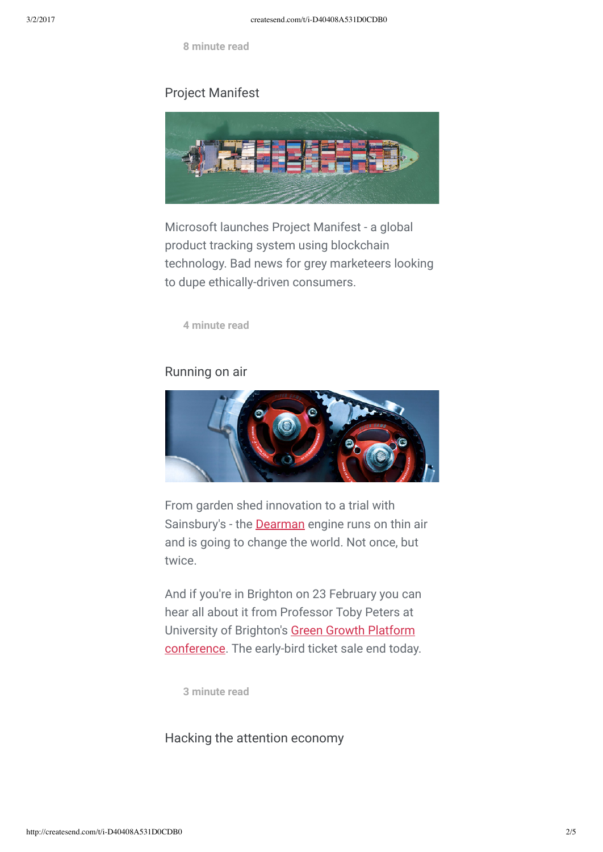**[8 minute read](http://ash.createsend1.com/t/i-l-ujjiol-l-h/)**

### Project Manifest



Microsoft launches Project Manifest - a global product tracking system using blockchain technology. Bad news for grey marketeers looking to dupe ethically-driven consumers.

**[4 minute read](http://ash.createsend1.com/t/i-l-ujjiol-l-u/)**

#### Running on air



From garden shed innovation to a trial with Sainsbury's - the [Dearman](http://ash.createsend1.com/t/i-l-ujjiol-l-b/) engine runs on thin air and is going to change the world. Not once, but twice.

And if you're in Brighton on 23 February you can hear all about it from Professor Toby Peters at University of Brighton's Green Growth Platform [conference. The early-bird ticket sale end today](http://ash.createsend1.com/t/i-l-ujjiol-l-n/).

**[3 minute read](http://ash.createsend1.com/t/i-l-ujjiol-l-p/)**

Hacking the attention economy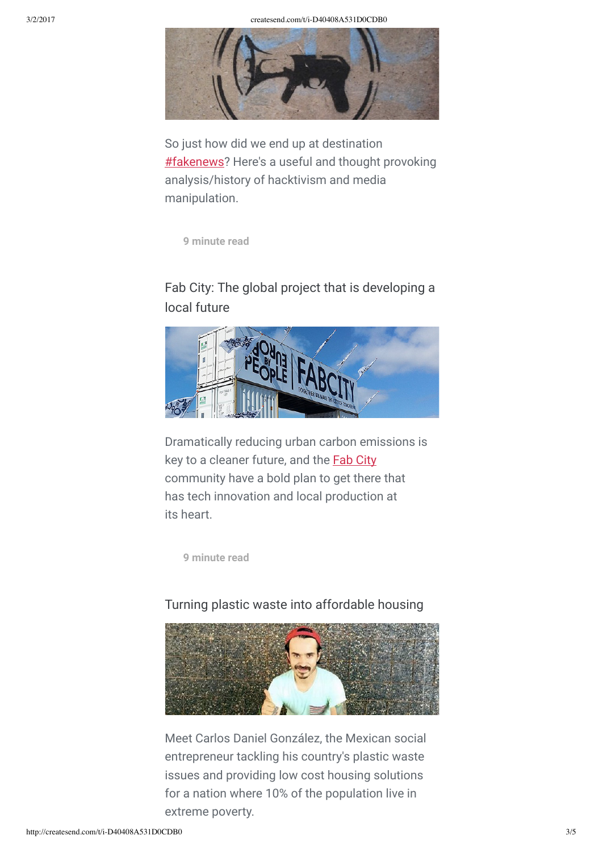

So just how did we end up at destination **#fakenews**? Here's a useful and thought provoking analysis/history of hacktivism and media manipulation.

**[9 minute read](http://ash.createsend1.com/t/i-l-ujjiol-l-c/)**

# Fab City: The global project that is developing a local future



Dramatically reducing urban carbon emissions is key to a cleaner future, and the **[Fab City](http://ash.createsend1.com/t/i-l-ujjiol-l-a/)** community have a bold plan to get there that has tech innovation and local production at its heart.

**[9 minute read](http://ash.createsend1.com/t/i-l-ujjiol-l-f/)**

## Turning plastic waste into affordable housing



Meet Carlos Daniel González, the Mexican social entrepreneur tackling his country's plastic waste issues and providing low cost housing solutions for a nation where 10% of the population live in extreme poverty.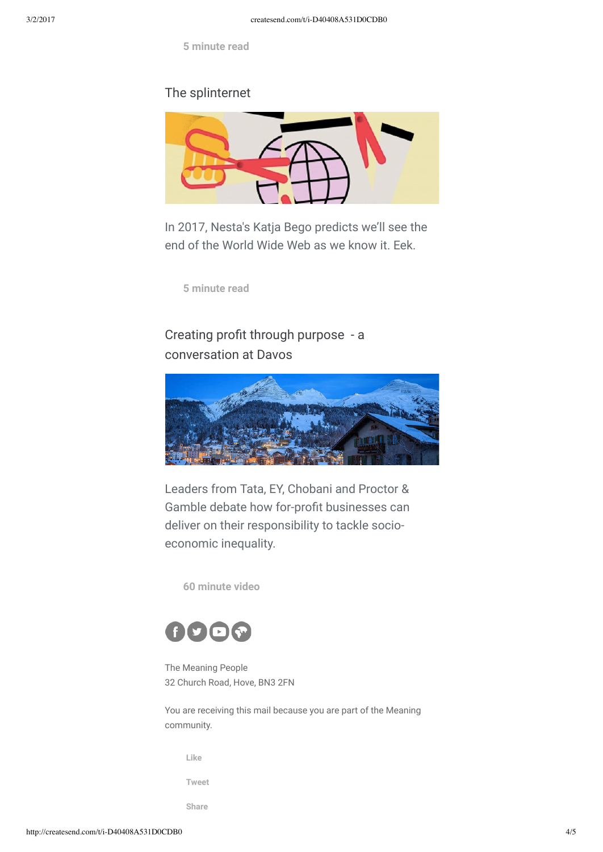**[5 minute read](http://ash.createsend1.com/t/i-l-ujjiol-l-v/)**

### The splinternet



In 2017, Nesta's Katja Bego predicts we'll see the end of the World Wide Web as we know it. Eek.

**[5 minute read](http://ash.createsend1.com/t/i-l-ujjiol-l-s/)**

# Creating profit through purpose - a conversation at Davos



Leaders from Tata, EY, Chobani and Proctor & Gamble debate how for-profit businesses can deliver on their responsibility to tackle socioeconomic inequality.

**[60 minute video](http://ash.createsend1.com/t/i-l-ujjiol-l-w/)**



The Meaning People 32 Church Road, Hove, BN3 2FN

You are receiving this mail because you are part of the Meaning community.

**[Like](http://ash.createsend1.com/t/i-fb-ujjiol-l-jh/)**

**[Tweet](http://ash.createsend1.com/t/i-tw-ujjiol-l-jk/)**

**[Share](http://ash.createsend1.com/t/i-li-ujjiol-l-ju/)**